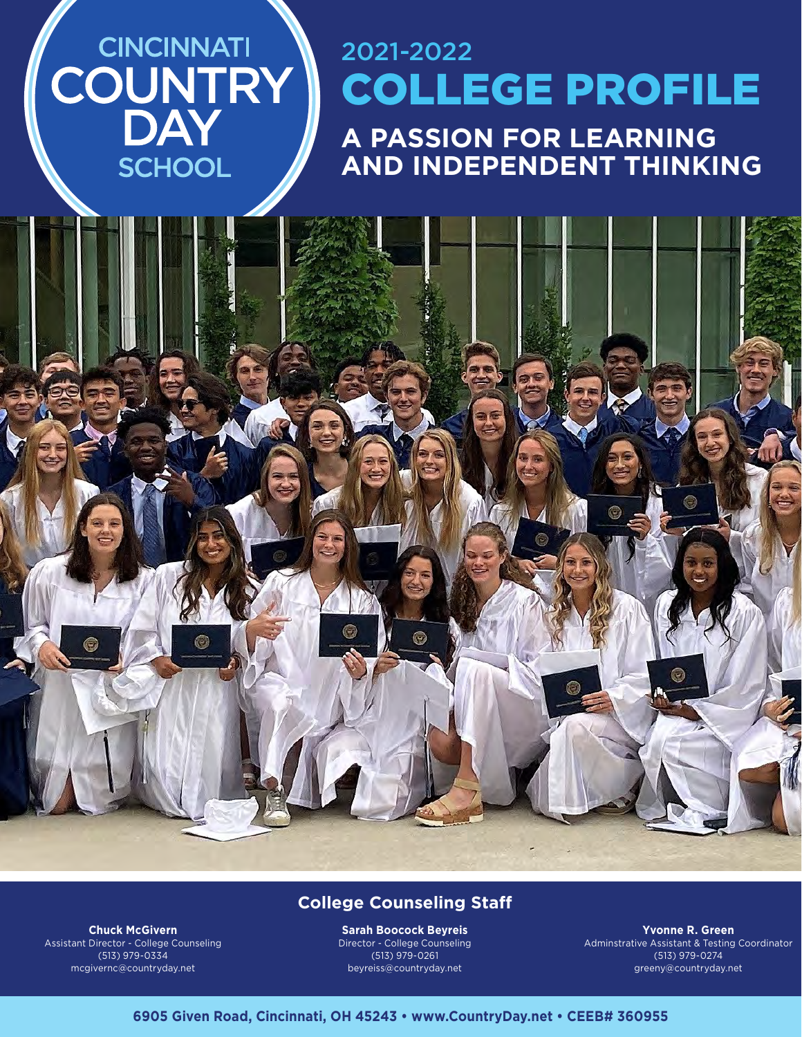# 2021-2022 **COUNTRY** COLLEGE PROFILE **A PASSION FOR LEARNING AND INDEPENDENT THINKING**

**Chuck McGivern College Counseling Staff**

Assistant Director - College Counseling (513) 979-0334 mcgivernc@countryday.net

**CINCINNATI** 

SCHOOL

**Sarah Boocock Beyreis** Director - College Counseling (513) 979-0261 beyreiss@countryday.net

 $\left( -\right)$ 

**Yvonne R. Green** Adminstrative Assistant & Testing Coordinator (513) 979-0274 greeny@countryday.net

### **6905 Given Road, Cincinnati, OH 45243 • www.CountryDay.net • CEEB# 360955**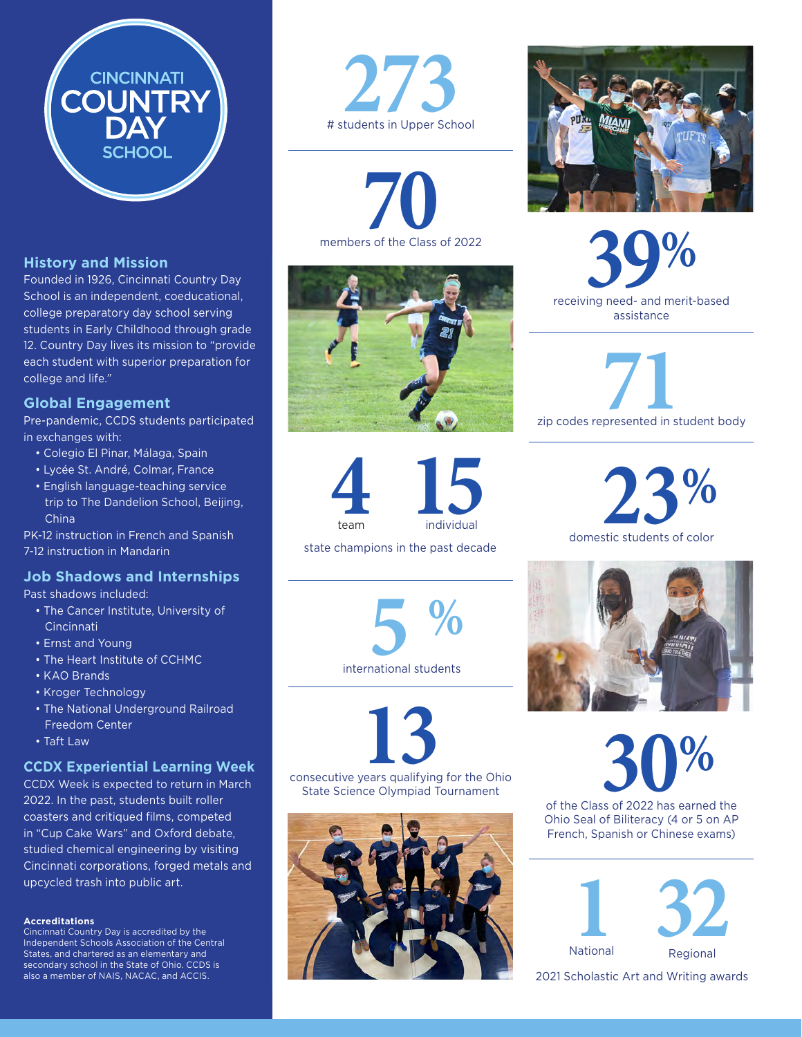# **History and Mission**

Founded in 1926, Cincinnati Country Day School is an independent, coeducational, college preparatory day school serving students in Early Childhood through grade 12. Country Day lives its mission to "provide each student with superior preparation for college and life."

**CINCINNATI** 

**HOOL** 

**JNTRY** 

### **Global Engagement**

Pre-pandemic, CCDS students participated in exchanges with:

- Colegio El Pinar, Málaga, Spain
- Lycée St. André, Colmar, France
- English language-teaching service trip to The Dandelion School, Beijing, China

PK-12 instruction in French and Spanish 7-12 instruction in Mandarin

### **Job Shadows and Internships**

Past shadows included:

- The Cancer Institute, University of **Cincinnati**
- Ernst and Young
- The Heart Institute of CCHMC
- KAO Brands
- Kroger Technology
- The National Underground Railroad Freedom Center
- Taft Law

## **CCDX Experiential Learning Week**

CCDX Week is expected to return in March 2022. In the past, students built roller coasters and critiqued films, competed in "Cup Cake Wars" and Oxford debate, studied chemical engineering by visiting Cincinnati corporations, forged metals and upcycled trash into public art.

### **Accreditations**

Cincinnati Country Day is accredited by the Independent Schools Association of the Central States, and chartered as an elementary and secondary school in the State of Ohio. CCDS is also a member of NAIS, NACAC, and ACCIS.



members of the Class of 2022





state champions in the past decade





State Science Olympiad Tournament







zip codes represented in student body

**23%** 



of the Class of 2022 has earned the

Ohio Seal of Biliteracy (4 or 5 on AP French, Spanish or Chinese exams)



2021 Scholastic Art and Writing awards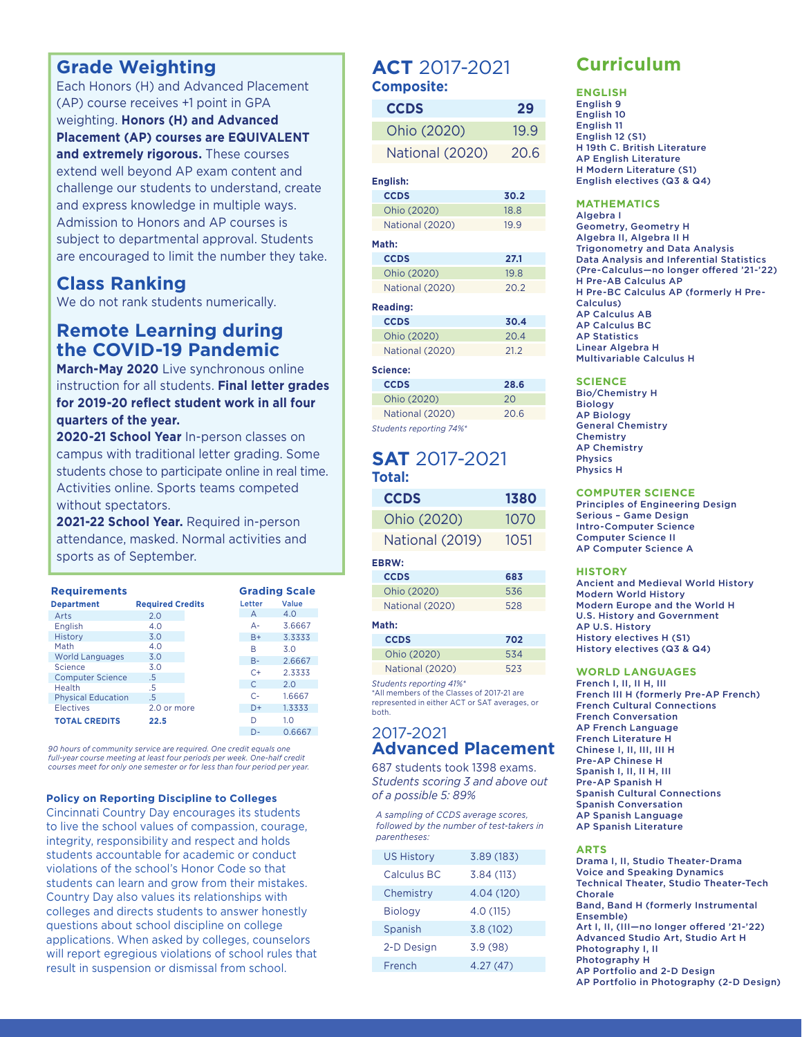# **Grade Weighting**

Each Honors (H) and Advanced Placement (AP) course receives +1 point in GPA weighting. **Honors (H) and Advanced Placement (AP) courses are EQUIVALENT and extremely rigorous.** These courses extend well beyond AP exam content and challenge our students to understand, create and express knowledge in multiple ways. Admission to Honors and AP courses is subject to departmental approval. Students are encouraged to limit the number they take.

# **Class Ranking**

We do not rank students numerically.

# **Remote Learning during the COVID-19 Pandemic**

**March-May 2020** Live synchronous online instruction for all students. **Final letter grades for 2019-20 reflect student work in all four quarters of the year.** 

**2020-21 School Year** In-person classes on campus with traditional letter grading. Some students chose to participate online in real time. Activities online. Sports teams competed without spectators.

**2021-22 School Year.** Required in-person attendance, masked. Normal activities and sports as of September.

| <b>Requirements</b>       |                         |           | <b>Grading Scale</b> |
|---------------------------|-------------------------|-----------|----------------------|
| <b>Department</b>         | <b>Required Credits</b> | Letter    | Value                |
| Arts                      | 2.0                     | А         | 4.0                  |
| English                   | 4.0                     | $A -$     | 3.6667               |
| History                   | 3.0                     | $B+$      | 3.3333               |
| Math                      | 4.0                     | R         | 3.0                  |
| <b>World Languages</b>    | 3.0                     | $B -$     | 2.6667               |
| Science                   | 3.0                     | $C+$      | 2.3333               |
| <b>Computer Science</b>   | .5                      |           |                      |
| Health                    | .5                      | $\subset$ | 2.0                  |
| <b>Physical Education</b> | .5                      | $C-$      | 1.6667               |
| Electives                 | 2.0 or more             | $D+$      | 1.3333               |
| <b>TOTAL CREDITS</b>      | 22.5                    | D         | 1.0                  |
|                           |                         | -         | - - - - -            |

*90 hours of community service are required. One credit equals one full-year course meeting at least four periods per week. One-half credit courses meet for only one semester or for less than four period per year.*

#### **Policy on Reporting Discipline to Colleges**

Cincinnati Country Day encourages its students to live the school values of compassion, courage, integrity, responsibility and respect and holds students accountable for academic or conduct violations of the school's Honor Code so that students can learn and grow from their mistakes. Country Day also values its relationships with colleges and directs students to answer honestly questions about school discipline on college applications. When asked by colleges, counselors will report egregious violations of school rules that result in suspension or dismissal from school.

## **ACT** 2017-2021 **Composite:**

| <b>CCDS</b>     | 29   |
|-----------------|------|
| Ohio (2020)     | 19.9 |
| National (2020) | 20.6 |

#### **English:**

| <b>CCDS</b>     | 30.2 |
|-----------------|------|
| Ohio (2020)     | 18.8 |
| National (2020) | 199  |

#### **Math:**

| <b>CCDS</b>     | 27.1 |
|-----------------|------|
| Ohio (2020)     | 19.8 |
| National (2020) | 20.2 |
|                 |      |

#### **Reading:**

| <b>CCDS</b>     | 30.4 |
|-----------------|------|
| Ohio (2020)     | 20.4 |
| National (2020) | 21.2 |

#### **Science:**

| <b>CCDS</b>             | 28.6 |
|-------------------------|------|
| Ohio (2020)             | 20   |
| National (2020)         | 20.6 |
| Students reporting 74%* |      |

# **SAT** 2017-2021 **Total:**

| <b>CCDS</b>     | 1380 |
|-----------------|------|
| Ohio (2020)     | 1070 |
| National (2019) | 1051 |

### **EBRW:**

| 683 |
|-----|
| 536 |
| 528 |
|     |

### **Math:**

**CCDS 702** Ohio (2020) 534 National (2020) 523

*Students reporting 41%\**

\*All members of the Classes of 2017-21 are represented in either ACT or SAT averages, or both.

### 0.6667 2017-2021 **Advanced Placement**

687 students took 1398 exams. *Students scoring 3 and above out of a possible 5: 89%*

*A sampling of CCDS average scores, followed by the number of test-takers in parentheses:*

| <b>US History</b> | 3.89(183)  |  |
|-------------------|------------|--|
| Calculus BC       | 3.84(113)  |  |
| Chemistry         | 4.04 (120) |  |
| <b>Biology</b>    | 4.0 (115)  |  |
| Spanish           | 3.8(102)   |  |
| 2-D Design        | 3.9(98)    |  |
| French            | 4.27(47)   |  |

# **Curriculum**

**ENGLISH** English 9 English 10 English 11 English 12 (S1) H 19th C. British Literature AP English Literature H Modern Literature (S1) English electives (Q3 & Q4)

#### **MATHEMATICS**

Algebra I Geometry, Geometry H Algebra II, Algebra II H Trigonometry and Data Analysis Data Analysis and Inferential Statistics (Pre-Calculus—no longer offered '21-'22) H Pre-AB Calculus AP H Pre-BC Calculus AP (formerly H Pre-Calculus) AP Calculus AB AP Calculus BC AP Statistics Linear Algebra H Multivariable Calculus H

#### **SCIENCE**

Bio/Chemistry H Biology AP Biology General Chemistry Chemistry AP Chemistry Physics Physics H

#### **COMPUTER SCIENCE**

Principles of Engineering Design Serious – Game Design Intro-Computer Science Computer Science II AP Computer Science A

#### **HISTORY**

Ancient and Medieval World History Modern World History Modern Europe and the World H U.S. History and Government AP U.S. History History electives H (S1) History electives (Q3 & Q4)

#### **WORLD LANGUAGES**

French I, II, II H, III French III H (formerly Pre-AP French) French Cultural Connections French Conversation AP French Language French Literature H Chinese I, II, III, III H Pre-AP Chinese H Spanish I, II, II H, III Pre-AP Spanish H Spanish Cultural Connections Spanish Conversation AP Spanish Language AP Spanish Literature

#### **ARTS**

Drama I, II, Studio Theater-Drama Voice and Speaking Dynamics Technical Theater, Studio Theater-Tech Chorale Band, Band H (formerly Instrumental Ensemble) Art I, II, (III—no longer offered '21-'22) Advanced Studio Art, Studio Art H Photography I, II Photography H AP Portfolio and 2-D Design AP Portfolio in Photography (2-D Design)